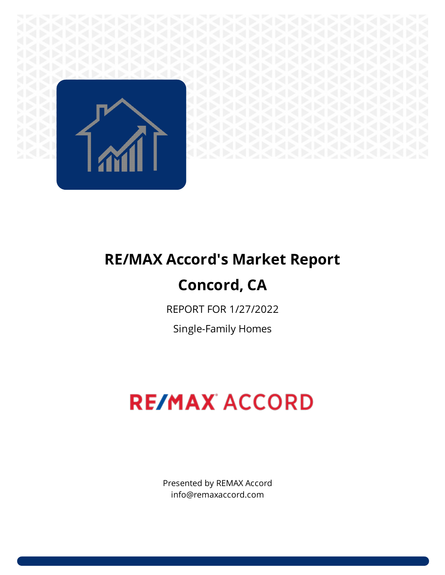

# **RE/MAX Accord's Market Report**

### **Concord, CA**

REPORT FOR 1/27/2022

Single-Family Homes

## **RE/MAX ACCORD**

Presented by REMAX Accord info@remaxaccord.com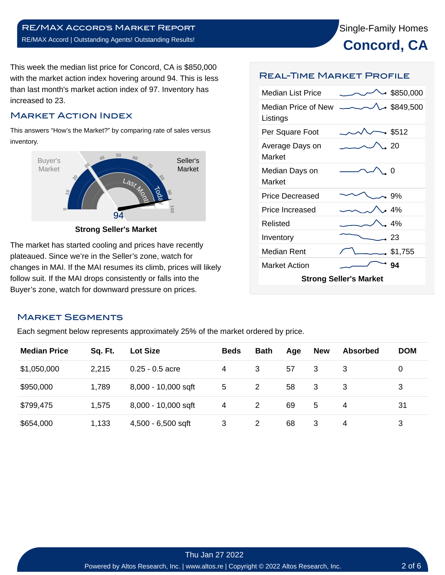

This week the median list price for Concord, CA is \$850,000 with the market action index hovering around 94. This is less than last month's market action index of 97. Inventory has increased to 23.

#### Market Action Index

This answers "How's the Market?" by comparing rate of sales versus inventory.



**Strong Seller's Market**

The market has started cooling and prices have recently plateaued. Since we're in the Seller's zone, watch for changes in MAI. If the MAI resumes its climb, prices will likely follow suit. If the MAI drops consistently or falls into the Buyer's zone, watch for downward pressure on prices.

#### Real-Time Market Profile

| <b>Median List Price</b>        |  | • \$850,000      |  |  |  |  |  |
|---------------------------------|--|------------------|--|--|--|--|--|
| Median Price of New<br>Listings |  | $\sim$ \$849,500 |  |  |  |  |  |
| Per Square Foot                 |  | $-$ \$512        |  |  |  |  |  |
| Average Days on<br>Market       |  | . 20             |  |  |  |  |  |
| Median Days on<br>Market        |  | O                |  |  |  |  |  |
| Price Decreased                 |  | .9%              |  |  |  |  |  |
| Price Increased                 |  | . 4%             |  |  |  |  |  |
| Relisted                        |  | . 4%             |  |  |  |  |  |
| Inventory                       |  | - 23             |  |  |  |  |  |
| Median Rent                     |  | \$1,755          |  |  |  |  |  |
| <b>Market Action</b>            |  | 94               |  |  |  |  |  |
| <b>Strong Seller's Market</b>   |  |                  |  |  |  |  |  |

#### Market Segments

Each segment below represents approximately 25% of the market ordered by price.

| <b>Median Price</b> | Sq. Ft. | <b>Lot Size</b>     | <b>Beds</b> | <b>Bath</b> | Age | <b>New</b> | <b>Absorbed</b> | <b>DOM</b> |
|---------------------|---------|---------------------|-------------|-------------|-----|------------|-----------------|------------|
| \$1,050,000         | 2,215   | $0.25 - 0.5$ acre   | 4           | 3           | 57  | 3          | 3               | 0          |
| \$950,000           | 1,789   | 8,000 - 10,000 sqft | 5           | 2           | 58  | 3          | 3               | 3          |
| \$799,475           | 1,575   | 8,000 - 10,000 sqft | 4           | 2           | 69  | 5          | 4               | 31         |
| \$654,000           | 1,133   | 4,500 - 6,500 sqft  | 3           | 2           | 68  | 3          | 4               | 3          |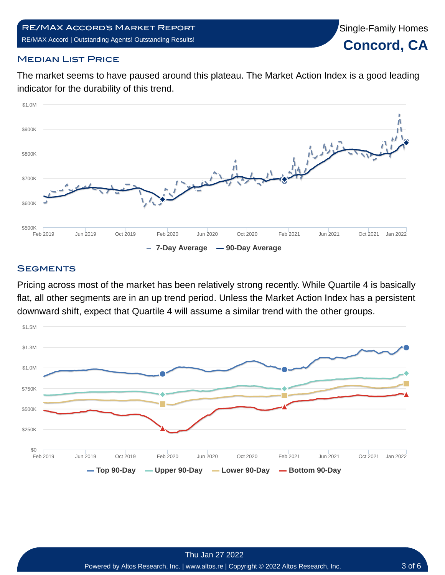Single-Family Homes

**Concord, CA**

#### **MEDIAN LIST PRICE**

The market seems to have paused around this plateau. The Market Action Index is a good leading indicator for the durability of this trend.



#### **SEGMENTS**

Pricing across most of the market has been relatively strong recently. While Quartile 4 is basically flat, all other segments are in an up trend period. Unless the Market Action Index has a persistent downward shift, expect that Quartile 4 will assume a similar trend with the other groups.

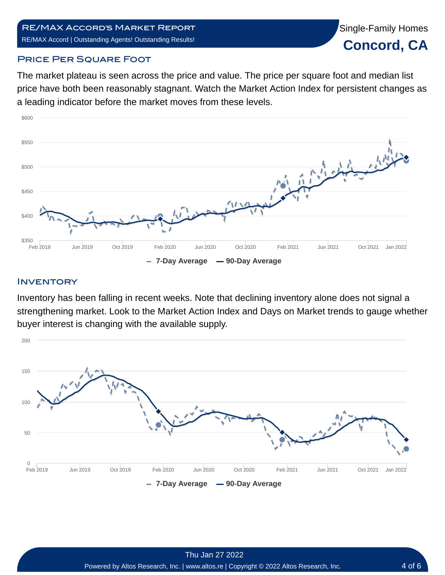#### RE/MAX Accord's Market Report RE/MAX Accord | Outstanding Agents! Outstanding Results!



#### **PRICE PER SQUARE FOOT**

The market plateau is seen across the price and value. The price per square foot and median list price have both been reasonably stagnant. Watch the Market Action Index for persistent changes as a leading indicator before the market moves from these levels.



#### **INVENTORY**

Inventory has been falling in recent weeks. Note that declining inventory alone does not signal a strengthening market. Look to the Market Action Index and Days on Market trends to gauge whether buyer interest is changing with the available supply.

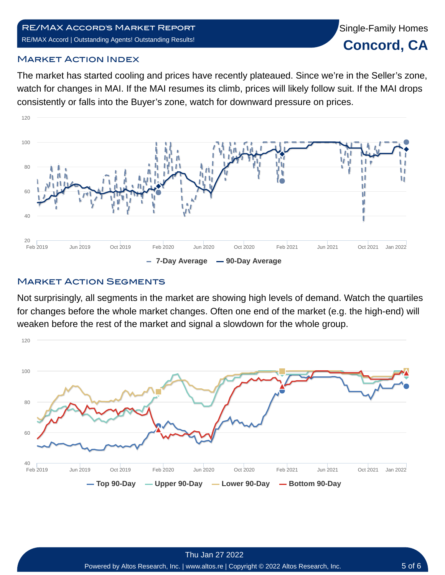#### RE/MAX Accord's Market Report RE/MAX Accord | Outstanding Agents! Outstanding Results!

#### Market Action Index

The market has started cooling and prices have recently plateaued. Since we're in the Seller's zone, watch for changes in MAI. If the MAI resumes its climb, prices will likely follow suit. If the MAI drops consistently or falls into the Buyer's zone, watch for downward pressure on prices.



#### **MARKET ACTION SEGMENTS**

Not surprisingly, all segments in the market are showing high levels of demand. Watch the quartiles for changes before the whole market changes. Often one end of the market (e.g. the high-end) will weaken before the rest of the market and signal a slowdown for the whole group.